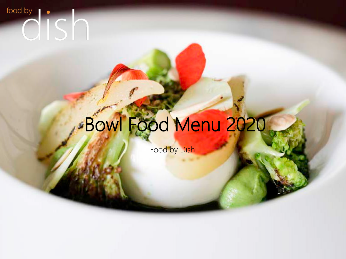## food by  $\bullet$

# Bowl Food Menu 2020

Food by Dish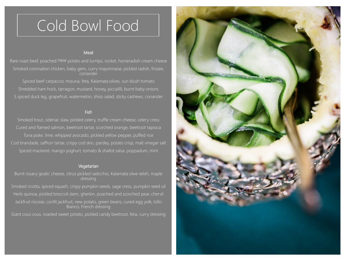## Cold Bowl Food

#### Meat

Rare roast beef, poached new potato and turnips, rocket, horseradish cream cheese Smoked coronation chicken, baby gem, curry mayonnaise, pickled radish, frissee, coriander

Spiced beef carpaccio, mizuna, feta, Kalamata olives, sun blush tomato Shredded ham hock, tarragon, mustard, honey, piccalilli, burnt baby onions 5 spiced duck leg, grapefruit, watermelon, shiso salad, sticky cashews, coriander

#### Fish

Smoked trout, celeriac slaw, pickled celery, truffle cream cheese, celery cress Cured and flamed salmon, beetroot tartar, scorched orange, beetroot tapioca Tuna poke, lime, whipped avocado, pickled yellow pepper, puffed rice Cod brandade, saffron tartar, crispy cod skin, parsley, potato crisp, malt vinegar salt Spiced mackerel, mango yoghurt, tomato & shallot salsa, poppadum, mint

#### **Vegetarian**

Burnt rosary goats' cheese, citrus pickled radicchio, Kalamata olive relish, maple dressing Smoked ricotta, spiced squash, crispy pumpkin seeds, sage cress, pumpkin seed oil Herb quinoa, pickled broccoli stem, gherkin, poached and scorched pear, chervil Jackfruit nicoise, confit jackfruit, new potato, green beans, cured egg yolk, lollo Bianco, French dressing

Giant cous cous, roasted sweet potato, pickled candy beetroot, feta, curry dressing